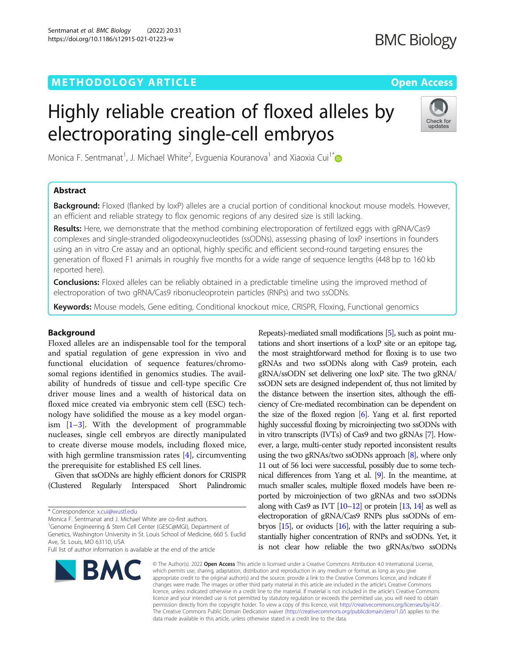# METHODOLOGY ARTICLE And the open Access of the Open Access

# Highly reliable creation of floxed alleles by electroporating single-cell embryos



Monica F. Sentmanat<sup>1</sup>, J. Michael White<sup>2</sup>, Evguenia Kouranova<sup>1</sup> and Xiaoxia Cui<sup>1\*</sup>

# Abstract

**Background:** Floxed (flanked by loxP) alleles are a crucial portion of conditional knockout mouse models. However, an efficient and reliable strategy to flox genomic regions of any desired size is still lacking.

Results: Here, we demonstrate that the method combining electroporation of fertilized eggs with gRNA/Cas9 complexes and single-stranded oligodeoxynucleotides (ssODNs), assessing phasing of loxP insertions in founders using an in vitro Cre assay and an optional, highly specific and efficient second-round targeting ensures the generation of floxed F1 animals in roughly five months for a wide range of sequence lengths (448 bp to 160 kb reported here).

**Conclusions:** Floxed alleles can be reliably obtained in a predictable timeline using the improved method of electroporation of two gRNA/Cas9 ribonucleoprotein particles (RNPs) and two ssODNs.

Keywords: Mouse models, Gene editing, Conditional knockout mice, CRISPR, Floxing, Functional genomics

# Background

Floxed alleles are an indispensable tool for the temporal and spatial regulation of gene expression in vivo and functional elucidation of sequence features/chromosomal regions identified in genomics studies. The availability of hundreds of tissue and cell-type specific Cre driver mouse lines and a wealth of historical data on floxed mice created via embryonic stem cell (ESC) technology have solidified the mouse as a key model organism  $[1-3]$  $[1-3]$  $[1-3]$  $[1-3]$ . With the development of programmable nucleases, single cell embryos are directly manipulated to create diverse mouse models, including floxed mice, with high germline transmission rates [\[4](#page-9-0)], circumventing the prerequisite for established ES cell lines.

Given that ssODNs are highly efficient donors for CRISPR (Clustered Regularly Interspaced Short Palindromic

Monica F. Sentmanat and J. Michael White are co-first authors.

<sup>1</sup>Genome Engineering & Stem Cell Center (GESC@MGI), Department of Genetics, Washington University in St. Louis School of Medicine, 660 S. Euclid Ave, St. Louis, MO 63110, USA

Full list of author information is available at the end of the article



Repeats)-mediated small modifications [\[5\]](#page-9-0), such as point mutations and short insertions of a loxP site or an epitope tag, the most straightforward method for floxing is to use two gRNAs and two ssODNs along with Cas9 protein, each gRNA/ssODN set delivering one loxP site. The two gRNA/ ssODN sets are designed independent of, thus not limited by the distance between the insertion sites, although the efficiency of Cre-mediated recombination can be dependent on the size of the floxed region [\[6](#page-9-0)]. Yang et al. first reported highly successful floxing by microinjecting two ssODNs with in vitro transcripts (IVTs) of Cas9 and two gRNAs [\[7\]](#page-9-0). However, a large, multi-center study reported inconsistent results using the two gRNAs/two ssODNs approach [[8](#page-9-0)], where only 11 out of 56 loci were successful, possibly due to some technical differences from Yang et al. [\[9](#page-9-0)]. In the meantime, at much smaller scales, multiple floxed models have been reported by microinjection of two gRNAs and two ssODNs along with Cas9 as IVT  $[10-12]$  $[10-12]$  $[10-12]$  $[10-12]$  or protein  $[13, 14]$  $[13, 14]$  $[13, 14]$  as well as electroporation of gRNA/Cas9 RNPs plus ssODNs of embryos [\[15\]](#page-9-0), or oviducts [\[16](#page-9-0)], with the latter requiring a substantially higher concentration of RNPs and ssODNs. Yet, it is not clear how reliable the two gRNAs/two ssODNs

© The Author(s), 2022 **Open Access** This article is licensed under a Creative Commons Attribution 4.0 International License, which permits use, sharing, adaptation, distribution and reproduction in any medium or format, as long as you give appropriate credit to the original author(s) and the source, provide a link to the Creative Commons licence, and indicate if changes were made. The images or other third party material in this article are included in the article's Creative Commons licence, unless indicated otherwise in a credit line to the material. If material is not included in the article's Creative Commons licence and your intended use is not permitted by statutory regulation or exceeds the permitted use, you will need to obtain permission directly from the copyright holder. To view a copy of this licence, visit [http://creativecommons.org/licenses/by/4.0/.](http://creativecommons.org/licenses/by/4.0/) The Creative Commons Public Domain Dedication waiver [\(http://creativecommons.org/publicdomain/zero/1.0/](http://creativecommons.org/publicdomain/zero/1.0/)) applies to the data made available in this article, unless otherwise stated in a credit line to the data.

<sup>\*</sup> Correspondence: [x.cui@wustl.edu](mailto:x.cui@wustl.edu)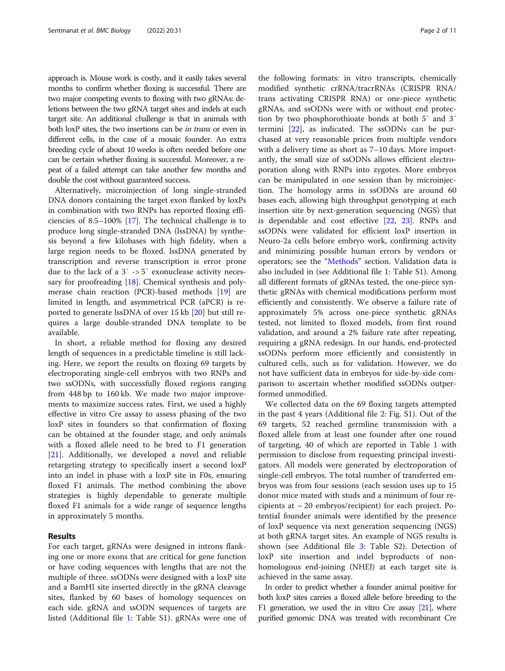approach is. Mouse work is costly, and it easily takes several months to confirm whether floxing is successful. There are two major competing events to floxing with two gRNAs: deletions between the two gRNA target sites and indels at each target site. An additional challenge is that in animals with both loxP sites, the two insertions can be in trans or even in different cells, in the case of a mosaic founder. An extra breeding cycle of about 10 weeks is often needed before one can be certain whether floxing is successful. Moreover, a repeat of a failed attempt can take another few months and double the cost without guaranteed success.

Alternatively, microinjection of long single-stranded DNA donors containing the target exon flanked by loxPs in combination with two RNPs has reported floxing efficiencies of 8.5–100% [[17](#page-10-0)]. The technical challenge is to produce long single-stranded DNA (lssDNA) by synthesis beyond a few kilobases with high fidelity, when a large region needs to be floxed. lssDNA generated by transcription and reverse transcription is error prone due to the lack of a 3′ -> 5′ exonuclease activity necessary for proofreading [[18](#page-10-0)]. Chemical synthesis and polymerase chain reaction (PCR)-based methods [\[19](#page-10-0)] are limited in length, and asymmetrical PCR (aPCR) is reported to generate lssDNA of over 15 kb [[20\]](#page-10-0) but still requires a large double-stranded DNA template to be available.

In short, a reliable method for floxing any desired length of sequences in a predictable timeline is still lacking. Here, we report the results on floxing 69 targets by electroporating single-cell embryos with two RNPs and two ssODNs, with successfully floxed regions ranging from 448 bp to 160 kb. We made two major improvements to maximize success rates. First, we used a highly effective in vitro Cre assay to assess phasing of the two loxP sites in founders so that confirmation of floxing can be obtained at the founder stage, and only animals with a floxed allele need to be bred to F1 generation [[21\]](#page-10-0). Additionally, we developed a novel and reliable retargeting strategy to specifically insert a second loxP into an indel in phase with a loxP site in F0s, ensuring floxed F1 animals. The method combining the above strategies is highly dependable to generate multiple floxed F1 animals for a wide range of sequence lengths in approximately 5 months.

# Results

For each target, gRNAs were designed in introns flanking one or more exons that are critical for gene function or have coding sequences with lengths that are not the multiple of three. ssODNs were designed with a loxP site and a BamHI site inserted directly in the gRNA cleavage sites, flanked by 60 bases of homology sequences on each side. gRNA and ssODN sequences of targets are listed (Additional file [1](#page-9-0): Table S1). gRNAs were one of

the following formats: in vitro transcripts, chemically modified synthetic crRNA/tracrRNAs (CRISPR RNA/ trans activating CRISPR RNA) or one-piece synthetic gRNAs, and ssODNs were with or without end protection by two phosphorothioate bonds at both 5′ and 3′ termini [[22](#page-10-0)], as indicated. The ssODNs can be purchased at very reasonable prices from multiple vendors with a delivery time as short as 7–10 days. More importantly, the small size of ssODNs allows efficient electroporation along with RNPs into zygotes. More embryos can be manipulated in one session than by microinjection. The homology arms in ssODNs are around 60 bases each, allowing high throughput genotyping at each insertion site by next-generation sequencing (NGS) that is dependable and cost effective [[22](#page-10-0), [23](#page-10-0)]. RNPs and ssODNs were validated for efficient loxP insertion in Neuro-2a cells before embryo work, confirming activity and minimizing possible human errors by vendors or operators; see the "[Methods](#page-7-0)" section. Validation data is also included in (see Additional file [1](#page-9-0): Table S1). Among all different formats of gRNAs tested, the one-piece synthetic gRNAs with chemical modifications perform most efficiently and consistently. We observe a failure rate of approximately 5% across one-piece synthetic gRNAs tested, not limited to floxed models, from first round validation, and around a 2% failure rate after repeating, requiring a gRNA redesign. In our hands, end-protected ssODNs perform more efficiently and consistently in cultured cells, such as for validation. However, we do not have sufficient data in embryos for side-by-side comparison to ascertain whether modified ssODNs outperformed unmodified.

We collected data on the 69 floxing targets attempted in the past 4 years (Additional file [2:](#page-9-0) Fig. S1). Out of the 69 targets, 52 reached germline transmission with a floxed allele from at least one founder after one round of targeting, 40 of which are reported in Table [1](#page-2-0) with permission to disclose from requesting principal investigators. All models were generated by electroporation of single-cell embryos. The total number of transferred embryos was from four sessions (each session uses up to 15 donor mice mated with studs and a minimum of four recipients at  $\sim 20$  embryos/recipient) for each project. Potential founder animals were identified by the presence of loxP sequence via next generation sequencing (NGS) at both gRNA target sites. An example of NGS results is shown (see Additional file [3:](#page-9-0) Table S2). Detection of loxP site insertion and indel byproducts of nonhomologous end-joining (NHEJ) at each target site is achieved in the same assay.

In order to predict whether a founder animal positive for both loxP sites carries a floxed allele before breeding to the F1 generation, we used the in vitro Cre assay [\[21](#page-10-0)], where purified genomic DNA was treated with recombinant Cre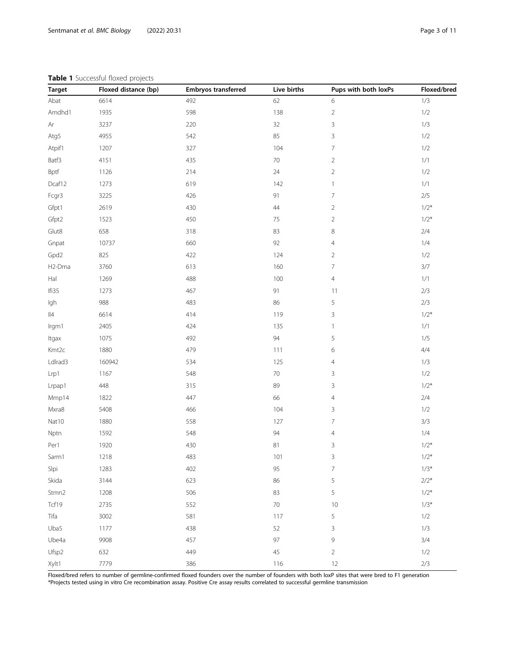# <span id="page-2-0"></span>Table 1 Successful floxed projects

| <b>Target</b>  | Floxed distance (bp) | <b>Embryos transferred</b> | Live births | Pups with both loxPs | Floxed/bred |
|----------------|----------------------|----------------------------|-------------|----------------------|-------------|
| Abat           | 6614                 | 492                        | 62          | 6                    | 1/3         |
| Amdhd1         | 1935                 | 598                        | 138         | $\sqrt{2}$           | $1/2$       |
| Ar             | 3237                 | 220                        | 32          | $\overline{3}$       | 1/3         |
| Atg5           | 4955                 | 542                        | 85          | $\overline{3}$       | $1/2$       |
| Atpif1         | 1207                 | 327                        | 104         | 7                    | $1/2$       |
| Batf3          | 4151                 | 435                        | $70\,$      | $\overline{c}$       | $1/1$       |
| Bptf           | 1126                 | 214                        | 24          | $\overline{2}$       | $1/2$       |
| Dcaf12         | 1273                 | 619                        | 142         | $\mathbf{1}$         | $1/1$       |
| Fcgr3          | 3225                 | 426                        | 91          | $\overline{7}$       | $2/5$       |
| Gfpt1          | 2619                 | 430                        | 44          | $\overline{c}$       | $1/2*$      |
| Gfpt2          | 1523                 | 450                        | $75\,$      | $\overline{2}$       | $1/2*$      |
| Glut8          | 658                  | 318                        | 83          | $\,8\,$              | $2/4$       |
| Gnpat          | 10737                | 660                        | 92          | $\overline{4}$       | 1/4         |
| Gpd2           | 825                  | 422                        | 124         | $\overline{2}$       | $1/2$       |
| H2-Dma         | 3760                 | 613                        | 160         | 7                    | $3/7$       |
| $\mathsf{Hal}$ | 1269                 | 488                        | 100         | $\overline{4}$       | $1/1$       |
| Ifi35          | 1273                 | 467                        | 91          | 11                   | $2/3$       |
| Igh            | 988                  | 483                        | 86          | $\mathsf S$          | $2/3$       |
| $\vert\vert 4$ | 6614                 | 414                        | 119         | $\overline{3}$       | $1/2*$      |
| Irgm1          | 2405                 | 424                        | 135         | $\mathbf{1}$         | $1/1$       |
| Itgax          | 1075                 | 492                        | 94          | 5                    | $1/5$       |
| Kmt2c          | 1880                 | 479                        | 111         | 6                    | 4/4         |
| LdIrad3        | 160942               | 534                        | 125         | $\overline{4}$       | 1/3         |
| Lrp1           | 1167                 | 548                        | $70\,$      | 3                    | $1/2$       |
| Lrpap1         | 448                  | 315                        | 89          | $\overline{3}$       | $1/2*$      |
| Mmp14          | 1822                 | 447                        | 66          | $\overline{4}$       | $2/4$       |
| Mxra8          | 5408                 | 466                        | 104         | $\mathsf 3$          | $1/2$       |
| Nat10          | 1880                 | 558                        | 127         | 7                    | 3/3         |
| Nptn           | 1592                 | 548                        | 94          | $\overline{4}$       | 1/4         |
| Per1           | 1920                 | 430                        | 81          | $\mathsf 3$          | $1/2*$      |
| Sarm1          | 1218                 | 483                        | 101         | 3                    | $1/2*$      |
| Slpi           | 1283                 | 402                        | 95          | $\overline{7}$       | $1/3*$      |
| Skida          | 3144                 | 623                        | 86          | $\mathsf S$          | $2/2*$      |
| Stmn2          | 1208                 | 506                        | 83          | 5                    | $1/2*$      |
| Tcf19          | 2735                 | 552                        | $70\,$      | 10                   | $1/3*$      |
| Tifa           | 3002                 | 581                        | 117         | 5                    | 1/2         |
| Uba5           | 1177                 | 438                        | 52          | 3                    | 1/3         |
| Ube4a          | 9908                 | 457                        | 97          | 9                    | 3/4         |
| Ufsp2          | 632                  | 449                        | 45          | $\overline{2}$       | 1/2         |
| Xylt1          | 7779                 | 386                        | 116         | 12                   | $2/3$       |

Floxed/bred refers to number of germline-confirmed floxed founders over the number of founders with both loxP sites that were bred to F1 generation \*Projects tested using in vitro Cre recombination assay. Positive Cre assay results correlated to successful germline transmission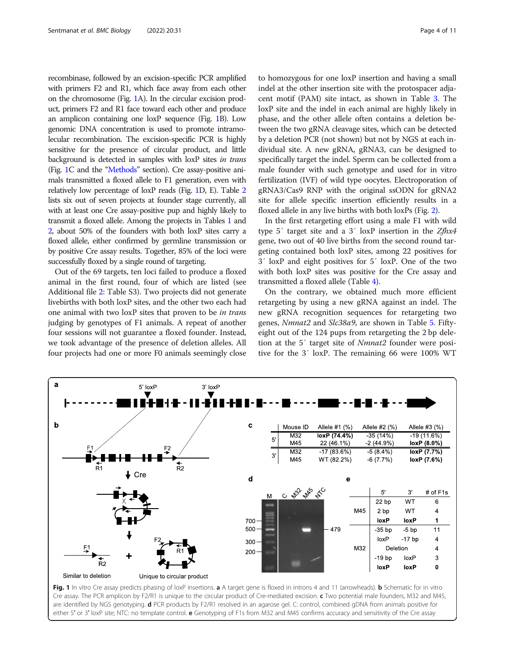<span id="page-3-0"></span>recombinase, followed by an excision-specific PCR amplified with primers F2 and R1, which face away from each other on the chromosome (Fig. 1A). In the circular excision product, primers F2 and R1 face toward each other and produce an amplicon containing one loxP sequence (Fig. 1B). Low genomic DNA concentration is used to promote intramolecular recombination. The excision-specific PCR is highly sensitive for the presence of circular product, and little background is detected in samples with loxP sites in trans (Fig. 1C and the "[Methods](#page-7-0)" section). Cre assay-positive animals transmitted a floxed allele to F1 generation, even with relatively low percentage of loxP reads (Fig. 1D, E). Table [2](#page-4-0) lists six out of seven projects at founder stage currently, all with at least one Cre assay-positive pup and highly likely to transmit a floxed allele. Among the projects in Tables [1](#page-2-0) and [2](#page-4-0), about 50% of the founders with both loxP sites carry a floxed allele, either confirmed by germline transmission or by positive Cre assay results. Together, 85% of the loci were successfully floxed by a single round of targeting.

Out of the 69 targets, ten loci failed to produce a floxed animal in the first round, four of which are listed (see Additional file [2](#page-9-0): Table S3). Two projects did not generate livebirths with both loxP sites, and the other two each had one animal with two loxP sites that proven to be in trans judging by genotypes of F1 animals. A repeat of another four sessions will not guarantee a floxed founder. Instead, we took advantage of the presence of deletion alleles. All four projects had one or more F0 animals seemingly close

to homozygous for one loxP insertion and having a small indel at the other insertion site with the protospacer adjacent motif (PAM) site intact, as shown in Table [3](#page-4-0). The loxP site and the indel in each animal are highly likely in phase, and the other allele often contains a deletion between the two gRNA cleavage sites, which can be detected by a deletion PCR (not shown) but not by NGS at each individual site. A new gRNA, gRNA3, can be designed to specifically target the indel. Sperm can be collected from a male founder with such genotype and used for in vitro fertilization (IVF) of wild type oocytes. Electroporation of gRNA3/Cas9 RNP with the original ssODN for gRNA2 site for allele specific insertion efficiently results in a floxed allele in any live births with both loxPs (Fig. [2\)](#page-5-0).

In the first retargeting effort using a male F1 with wild type 5' target site and a 3' loxP insertion in the Zfhx4 gene, two out of 40 live births from the second round targeting contained both loxP sites, among 22 positives for 3′ loxP and eight positives for 5′ loxP. One of the two with both loxP sites was positive for the Cre assay and transmitted a floxed allele (Table [4\)](#page-5-0).

On the contrary, we obtained much more efficient retargeting by using a new gRNA against an indel. The new gRNA recognition sequences for retargeting two genes, Nmnat2 and Slc38a9, are shown in Table [5.](#page-6-0) Fiftyeight out of the 124 pups from retargeting the 2 bp deletion at the 5′ target site of Nmnat2 founder were positive for the 3′ loxP. The remaining 66 were 100% WT



are identified by NGS genotyping. d PCR products by F2/R1 resolved in an agarose gel. C: control, combined gDNA from animals positive for either 5' or 3' loxP site; NTC: no template control. **e** Genotyping of F1s from M32 and M45 confirms accuracy and sensitivity of the Cre assay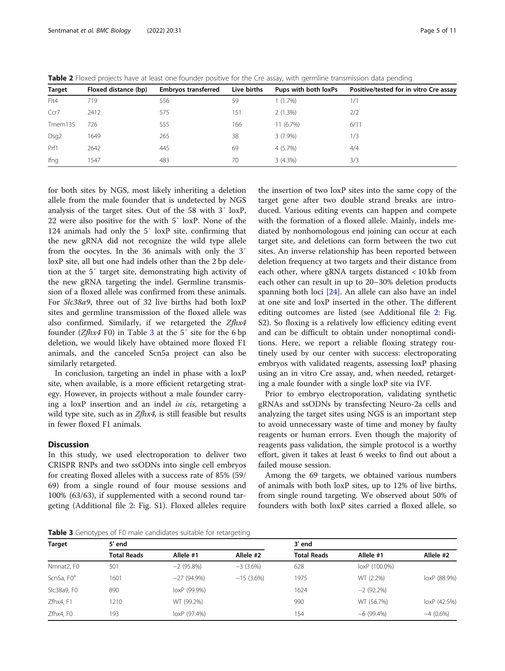<span id="page-4-0"></span>

| Table 2 Floxed projects have at least one founder positive for the Cre assay, with germline transmission data pending |  |  |  |  |  |  |
|-----------------------------------------------------------------------------------------------------------------------|--|--|--|--|--|--|
|-----------------------------------------------------------------------------------------------------------------------|--|--|--|--|--|--|

|                  |                      |                            |             |                      | $\tilde{}$                             |
|------------------|----------------------|----------------------------|-------------|----------------------|----------------------------------------|
| <b>Target</b>    | Floxed distance (bp) | <b>Embryos transferred</b> | Live births | Pups with both loxPs | Positive/tested for in vitro Cre assay |
| Flt4             | 719                  | 556                        | 59          | 1(1.7%)              | 1/1                                    |
| Ccr7             | 2412                 | 575                        | 151         | 2(1.3%)              | 2/2                                    |
| Tmem135          | 726                  | 555                        | 166         | 11(6.7%)             | 6/11                                   |
| Dsg <sub>2</sub> | 1649                 | 265                        | 38          | $3(7.9\%)$           | 1/3                                    |
| Prf1             | 2642                 | 445                        | 69          | 4(5.7%)              | 4/4                                    |
| Ifng             | 1547                 | 483                        | 70          | 3(4.3%)              | 3/3                                    |

for both sites by NGS, most likely inheriting a deletion allele from the male founder that is undetected by NGS analysis of the target sites. Out of the 58 with 3′ loxP, 22 were also positive for the with 5′ loxP. None of the 124 animals had only the 5′ loxP site, confirming that the new gRNA did not recognize the wild type allele from the oocytes. In the 36 animals with only the 3′ loxP site, all but one had indels other than the 2 bp deletion at the 5′ target site, demonstrating high activity of the new gRNA targeting the indel. Germline transmission of a floxed allele was confirmed from these animals. For Slc38a9, three out of 32 live births had both loxP sites and germline transmission of the floxed allele was also confirmed. Similarly, if we retargeted the Zfhx4 founder  $(Zfhx4 F0)$  in Table 3 at the 5' site for the 6 bp deletion, we would likely have obtained more floxed F1 animals, and the canceled Scn5a project can also be similarly retargeted.

In conclusion, targeting an indel in phase with a loxP site, when available, is a more efficient retargeting strategy. However, in projects without a male founder carrying a loxP insertion and an indel in cis, retargeting a wild type site, such as in *Zfhx4*, is still feasible but results in fewer floxed F1 animals.

# **Discussion**

In this study, we used electroporation to deliver two CRISPR RNPs and two ssODNs into single cell embryos for creating floxed alleles with a success rate of 85% (59/ 69) from a single round of four mouse sessions and 100% (63/63), if supplemented with a second round targeting (Additional file [2](#page-9-0): Fig. S1). Floxed alleles require

the insertion of two loxP sites into the same copy of the target gene after two double strand breaks are introduced. Various editing events can happen and compete with the formation of a floxed allele. Mainly, indels mediated by nonhomologous end joining can occur at each target site, and deletions can form between the two cut sites. An inverse relationship has been reported between deletion frequency at two targets and their distance from each other, where gRNA targets distanced < 10 kb from each other can result in up to 20–30% deletion products spanning both loci [\[24\]](#page-10-0). An allele can also have an indel at one site and loxP inserted in the other. The different editing outcomes are listed (see Additional file [2:](#page-9-0) Fig. S2). So floxing is a relatively low efficiency editing event and can be difficult to obtain under nonoptimal conditions. Here, we report a reliable floxing strategy routinely used by our center with success: electroporating embryos with validated reagents, assessing loxP phasing using an in vitro Cre assay, and, when needed, retargeting a male founder with a single loxP site via IVF.

Prior to embryo electroporation, validating synthetic gRNAs and ssODNs by transfecting Neuro-2a cells and analyzing the target sites using NGS is an important step to avoid unnecessary waste of time and money by faulty reagents or human errors. Even though the majority of reagents pass validation, the simple protocol is a worthy effort, given it takes at least 6 weeks to find out about a failed mouse session.

Among the 69 targets, we obtained various numbers of animals with both loxP sites, up to 12% of live births, from single round targeting. We observed about 50% of founders with both loxP sites carried a floxed allele, so

Table 3 Genotypes of F0 male candidates suitable for retargeting

| Target                 | 5' end             |              |             | 3' end             |               |              |
|------------------------|--------------------|--------------|-------------|--------------------|---------------|--------------|
|                        | <b>Total Reads</b> | Allele #1    | Allele #2   | <b>Total Reads</b> | Allele #1     | Allele #2    |
| Nmnat2, F0             | 501                | $-2(95.8\%)$ | $-3(3.6%)$  | 628                | loxP (100.0%) |              |
| Scn5a, F0 <sup>a</sup> | 1601               | $-27(94.9%)$ | $-15(3.6%)$ | 1975               | WT (2.2%)     | loxP (88.9%) |
| SIc38a9, F0            | 890                | loxP (99.9%) |             | 1624               | $-2(92.2\%)$  |              |
| Zfhx4, F1              | 1210               | WT (99.2%)   |             | 990                | WT (56.7%)    | loxP (42.5%) |
| Zfhx4, F0              | 193                | loxP (97.4%) |             | 154                | $-6(99.4\%)$  | $-4(0.6\%)$  |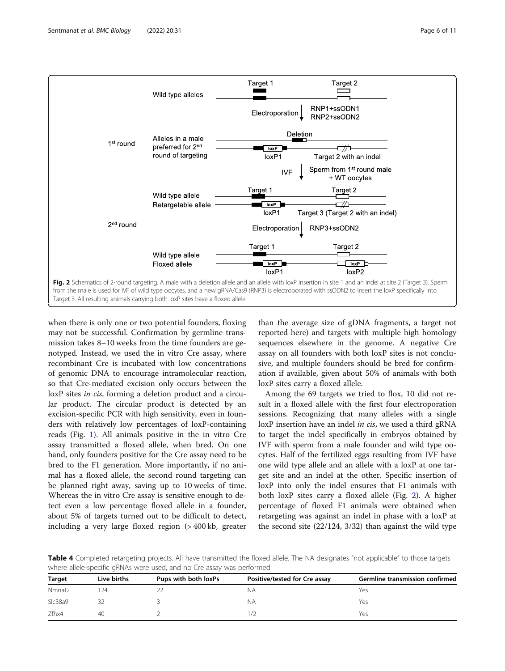<span id="page-5-0"></span>

when there is only one or two potential founders, floxing may not be successful. Confirmation by germline transmission takes 8–10 weeks from the time founders are genotyped. Instead, we used the in vitro Cre assay, where recombinant Cre is incubated with low concentrations of genomic DNA to encourage intramolecular reaction, so that Cre-mediated excision only occurs between the loxP sites *in cis*, forming a deletion product and a circular product. The circular product is detected by an excision-specific PCR with high sensitivity, even in founders with relatively low percentages of loxP-containing reads (Fig. [1](#page-3-0)). All animals positive in the in vitro Cre assay transmitted a floxed allele, when bred. On one hand, only founders positive for the Cre assay need to be bred to the F1 generation. More importantly, if no animal has a floxed allele, the second round targeting can be planned right away, saving up to 10 weeks of time. Whereas the in vitro Cre assay is sensitive enough to detect even a low percentage floxed allele in a founder, about 5% of targets turned out to be difficult to detect, including a very large floxed region (> 400 kb, greater

than the average size of gDNA fragments, a target not reported here) and targets with multiple high homology sequences elsewhere in the genome. A negative Cre assay on all founders with both loxP sites is not conclusive, and multiple founders should be bred for confirmation if available, given about 50% of animals with both loxP sites carry a floxed allele.

Among the 69 targets we tried to flox, 10 did not result in a floxed allele with the first four electroporation sessions. Recognizing that many alleles with a single loxP insertion have an indel in cis, we used a third gRNA to target the indel specifically in embryos obtained by IVF with sperm from a male founder and wild type oocytes. Half of the fertilized eggs resulting from IVF have one wild type allele and an allele with a loxP at one target site and an indel at the other. Specific insertion of loxP into only the indel ensures that F1 animals with both loxP sites carry a floxed allele (Fig. 2). A higher percentage of floxed F1 animals were obtained when retargeting was against an indel in phase with a loxP at the second site (22/124, 3/32) than against the wild type

Table 4 Completed retargeting projects. All have transmitted the floxed allele. The NA designates "not applicable" to those targets where allele-specific gRNAs were used, and no Cre assay was performed

| <b>Target</b> | Live births | Pups with both loxPs | Positive/tested for Cre assay | Germline transmission confirmed |
|---------------|-------------|----------------------|-------------------------------|---------------------------------|
| Nmnat2        | .24         |                      | NΑ                            | Yes                             |
| SIc38a9       |             |                      | NΑ                            | Yes                             |
| Zfhx4         | 40          |                      |                               | Yes                             |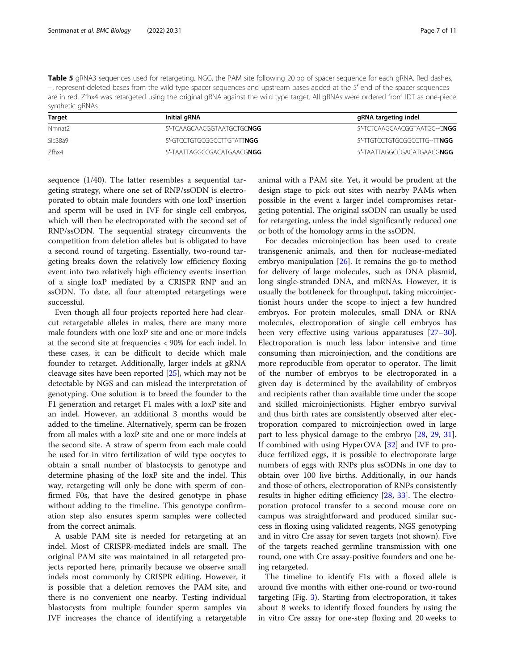<span id="page-6-0"></span>Table 5 gRNA3 sequences used for retargeting. NGG, the PAM site following 20 bp of spacer sequence for each gRNA. Red dashes, --, represent deleted bases from the wild type spacer sequences and upstream bases added at the 5′ end of the spacer sequences are in red. Zfhx4 was retargeted using the original gRNA against the wild type target. All gRNAs were ordered from IDT as one-piece synthetic gRNAs

| Target  | Initial gRNA                       | gRNA targeting indel         |
|---------|------------------------------------|------------------------------|
| Nmnat2  | 5'-TCAAGCAACGGTAATGCTGC <b>NGG</b> | 5'-TCTCAAGCAACGGTAATGC--CNGG |
| Slc38a9 | 5'-GTCCTGTGCGGCCTTGTATTNGG         | 5'-TTGTCCTGTGCGGCCTTG--TTNGG |
| 7fhx4   | 5'-TAATTAGGCCGACATGAACGNGG         | 5'-TAATTAGGCCGACATGAACGNGG   |

sequence (1/40). The latter resembles a sequential targeting strategy, where one set of RNP/ssODN is electroporated to obtain male founders with one loxP insertion and sperm will be used in IVF for single cell embryos, which will then be electroporated with the second set of RNP/ssODN. The sequential strategy circumvents the competition from deletion alleles but is obligated to have a second round of targeting. Essentially, two-round targeting breaks down the relatively low efficiency floxing event into two relatively high efficiency events: insertion of a single loxP mediated by a CRISPR RNP and an ssODN. To date, all four attempted retargetings were successful.

Even though all four projects reported here had clearcut retargetable alleles in males, there are many more male founders with one loxP site and one or more indels at the second site at frequencies < 90% for each indel. In these cases, it can be difficult to decide which male founder to retarget. Additionally, larger indels at gRNA cleavage sites have been reported [[25\]](#page-10-0), which may not be detectable by NGS and can mislead the interpretation of genotyping. One solution is to breed the founder to the F1 generation and retarget F1 males with a loxP site and an indel. However, an additional 3 months would be added to the timeline. Alternatively, sperm can be frozen from all males with a loxP site and one or more indels at the second site. A straw of sperm from each male could be used for in vitro fertilization of wild type oocytes to obtain a small number of blastocysts to genotype and determine phasing of the loxP site and the indel. This way, retargeting will only be done with sperm of confirmed F0s, that have the desired genotype in phase without adding to the timeline. This genotype confirmation step also ensures sperm samples were collected from the correct animals.

A usable PAM site is needed for retargeting at an indel. Most of CRISPR-mediated indels are small. The original PAM site was maintained in all retargeted projects reported here, primarily because we observe small indels most commonly by CRISPR editing. However, it is possible that a deletion removes the PAM site, and there is no convenient one nearby. Testing individual blastocysts from multiple founder sperm samples via IVF increases the chance of identifying a retargetable

animal with a PAM site. Yet, it would be prudent at the design stage to pick out sites with nearby PAMs when possible in the event a larger indel compromises retargeting potential. The original ssODN can usually be used for retargeting, unless the indel significantly reduced one or both of the homology arms in the ssODN.

For decades microinjection has been used to create transgenenic animals, and then for nuclease-mediated embryo manipulation [\[26](#page-10-0)]. It remains the go-to method for delivery of large molecules, such as DNA plasmid, long single-stranded DNA, and mRNAs. However, it is usually the bottleneck for throughput, taking microinjectionist hours under the scope to inject a few hundred embryos. For protein molecules, small DNA or RNA molecules, electroporation of single cell embryos has been very effective using various apparatuses [[27](#page-10-0)–[30](#page-10-0)]. Electroporation is much less labor intensive and time consuming than microinjection, and the conditions are more reproducible from operator to operator. The limit of the number of embryos to be electroporated in a given day is determined by the availability of embryos and recipients rather than available time under the scope and skilled microinjectionists. Higher embryo survival and thus birth rates are consistently observed after electroporation compared to microinjection owed in large part to less physical damage to the embryo [\[28](#page-10-0), [29,](#page-10-0) [31](#page-10-0)]. If combined with using HyperOVA [[32\]](#page-10-0) and IVF to produce fertilized eggs, it is possible to electroporate large numbers of eggs with RNPs plus ssODNs in one day to obtain over 100 live births. Additionally, in our hands and those of others, electroporation of RNPs consistently results in higher editing efficiency [\[28,](#page-10-0) [33](#page-10-0)]. The electroporation protocol transfer to a second mouse core on campus was straightforward and produced similar success in floxing using validated reagents, NGS genotyping and in vitro Cre assay for seven targets (not shown). Five of the targets reached germline transmission with one round, one with Cre assay-positive founders and one being retargeted.

The timeline to identify F1s with a floxed allele is around five months with either one-round or two-round targeting (Fig. [3](#page-7-0)). Starting from electroporation, it takes about 8 weeks to identify floxed founders by using the in vitro Cre assay for one-step floxing and 20 weeks to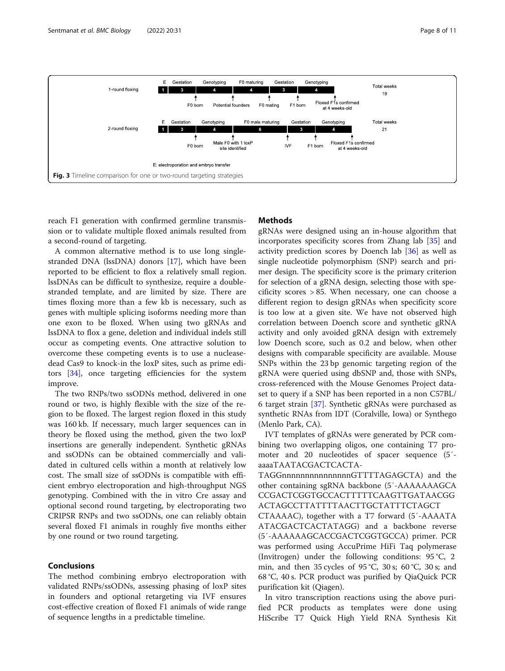<span id="page-7-0"></span>

reach F1 generation with confirmed germline transmission or to validate multiple floxed animals resulted from a second-round of targeting.

# **Methods**

A common alternative method is to use long singlestranded DNA (lssDNA) donors [\[17\]](#page-10-0), which have been reported to be efficient to flox a relatively small region. lssDNAs can be difficult to synthesize, require a doublestranded template, and are limited by size. There are times floxing more than a few kb is necessary, such as genes with multiple splicing isoforms needing more than one exon to be floxed. When using two gRNAs and lssDNA to flox a gene, deletion and individual indels still occur as competing events. One attractive solution to overcome these competing events is to use a nucleasedead Cas9 to knock-in the loxP sites, such as prime editors [\[34](#page-10-0)], once targeting efficiencies for the system improve.

The two RNPs/two ssODNs method, delivered in one round or two, is highly flexible with the size of the region to be floxed. The largest region floxed in this study was 160 kb. If necessary, much larger sequences can in theory be floxed using the method, given the two loxP insertions are generally independent. Synthetic gRNAs and ssODNs can be obtained commercially and validated in cultured cells within a month at relatively low cost. The small size of ssODNs is compatible with efficient embryo electroporation and high-throughput NGS genotyping. Combined with the in vitro Cre assay and optional second round targeting, by electroporating two CRIPSR RNPs and two ssODNs, one can reliably obtain several floxed F1 animals in roughly five months either by one round or two round targeting.

# Conclusions

The method combining embryo electroporation with validated RNPs/ssODNs, assessing phasing of loxP sites in founders and optional retargeting via IVF ensures cost-effective creation of floxed F1 animals of wide range of sequence lengths in a predictable timeline.

gRNAs were designed using an in-house algorithm that incorporates specificity scores from Zhang lab [\[35](#page-10-0)] and activity prediction scores by Doench lab [[36\]](#page-10-0) as well as single nucleotide polymorphism (SNP) search and primer design. The specificity score is the primary criterion for selection of a gRNA design, selecting those with specificity scores > 85. When necessary, one can choose a different region to design gRNAs when specificity score is too low at a given site. We have not observed high correlation between Doench score and synthetic gRNA activity and only avoided gRNA design with extremely low Doench score, such as 0.2 and below, when other designs with comparable specificity are available. Mouse SNPs within the 23 bp genomic targeting region of the gRNA were queried using dbSNP and, those with SNPs, cross-referenced with the Mouse Genomes Project dataset to query if a SNP has been reported in a non C57BL/ 6 target strain [[37\]](#page-10-0). Synthetic gRNAs were purchased as synthetic RNAs from IDT (Coralville, Iowa) or Synthego (Menlo Park, CA).

IVT templates of gRNAs were generated by PCR combining two overlapping oligos, one containing T7 promoter and 20 nucleotides of spacer sequence (5′ aaaaTAATACGACTCACTA-

TAGGnnnnnnnnnnnnnnnGTTTTAGAGCTA) and the other containing sgRNA backbone (5′-AAAAAAAGCA CCGACTCGGTGCCACTTTTTCAAGTTGATAACGG ACTAGCCTTATTTTAACTTGCTATTTCTAGCT

CTAAAAC), together with a T7 forward (5′-AAAATA ATACGACTCACTATAGG) and a backbone reverse (5′-AAAAAAGCACCGACTCGGTGCCA) primer. PCR was performed using AccuPrime HiFi Taq polymerase (Invitrogen) under the following conditions: 95 °C, 2 min, and then 35 cycles of 95 °C, 30 s; 60 °C, 30 s; and 68 °C, 40 s. PCR product was purified by QiaQuick PCR purification kit (Qiagen).

In vitro transcription reactions using the above purified PCR products as templates were done using HiScribe T7 Quick High Yield RNA Synthesis Kit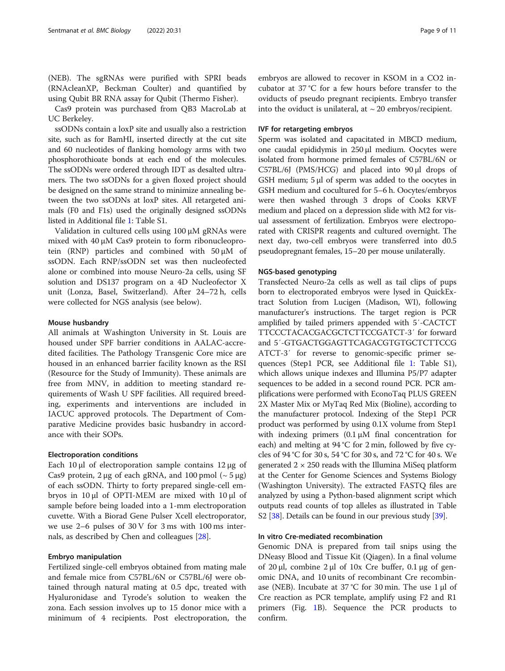(NEB). The sgRNAs were purified with SPRI beads (RNAcleanXP, Beckman Coulter) and quantified by using Qubit BR RNA assay for Qubit (Thermo Fisher).

Cas9 protein was purchased from QB3 MacroLab at UC Berkeley.

ssODNs contain a loxP site and usually also a restriction site, such as for BamHI, inserted directly at the cut site and 60 nucleotides of flanking homology arms with two phosphorothioate bonds at each end of the molecules. The ssODNs were ordered through IDT as desalted ultramers. The two ssODNs for a given floxed project should be designed on the same strand to minimize annealing between the two ssODNs at loxP sites. All retargeted animals (F0 and F1s) used the originally designed ssODNs listed in Additional file [1](#page-9-0): Table S1.

Validation in cultured cells using 100 μM gRNAs were mixed with 40 μM Cas9 protein to form ribonucleoprotein (RNP) particles and combined with 50 μM of ssODN. Each RNP/ssODN set was then nucleofected alone or combined into mouse Neuro-2a cells, using SF solution and DS137 program on a 4D Nucleofector X unit (Lonza, Basel, Switzerland). After 24–72 h, cells were collected for NGS analysis (see below).

# Mouse husbandry

All animals at Washington University in St. Louis are housed under SPF barrier conditions in AALAC-accredited facilities. The Pathology Transgenic Core mice are housed in an enhanced barrier facility known as the RSI (Resource for the Study of Immunity). These animals are free from MNV, in addition to meeting standard requirements of Wash U SPF facilities. All required breeding, experiments and interventions are included in IACUC approved protocols. The Department of Comparative Medicine provides basic husbandry in accordance with their SOPs.

### Electroporation conditions

Each 10 μl of electroporation sample contains  $12 \mu$ g of Cas9 protein, 2 μg of each gRNA, and 100 pmol  $({\sim} 5 \mu g)$ of each ssODN. Thirty to forty prepared single-cell embryos in 10 μl of OPTI-MEM are mixed with 10 μl of sample before being loaded into a 1-mm electroporation cuvette. With a Biorad Gene Pulser Xcell electroporator, we use 2–6 pulses of 30 V for 3 ms with 100 ms internals, as described by Chen and colleagues [[28](#page-10-0)].

# Embryo manipulation

Fertilized single-cell embryos obtained from mating male and female mice from C57BL/6N or C57BL/6J were obtained through natural mating at 0.5 dpc, treated with Hyaluronidase and Tyrode's solution to weaken the zona. Each session involves up to 15 donor mice with a minimum of 4 recipients. Post electroporation, the embryos are allowed to recover in KSOM in a CO2 incubator at 37 °C for a few hours before transfer to the oviducts of pseudo pregnant recipients. Embryo transfer into the oviduct is unilateral, at  $\sim$  20 embryos/recipient.

#### IVF for retargeting embryos

Sperm was isolated and capacitated in MBCD medium, one caudal epididymis in 250 μl medium. Oocytes were isolated from hormone primed females of C57BL/6N or C57BL/6J (PMS/HCG) and placed into 90 μl drops of GSH medium; 5 μl of sperm was added to the oocytes in GSH medium and cocultured for 5–6 h. Oocytes/embryos were then washed through 3 drops of Cooks KRVF medium and placed on a depression slide with M2 for visual assessment of fertilization. Embryos were electroporated with CRISPR reagents and cultured overnight. The next day, two-cell embryos were transferred into d0.5 pseudopregnant females, 15–20 per mouse unilaterally.

# NGS-based genotyping

Transfected Neuro-2a cells as well as tail clips of pups born to electroporated embryos were lysed in QuickExtract Solution from Lucigen (Madison, WI), following manufacturer's instructions. The target region is PCR amplified by tailed primers appended with 5′-CACTCT TTCCCTACACGACGCTCTTCCGATCT-3′ for forward and 5′-GTGACTGGAGTTCAGACGTGTGCTCTTCCG ATCT-3′ for reverse to genomic-specific primer sequences (Step1 PCR, see Additional file [1:](#page-9-0) Table S1), which allows unique indexes and Illumina P5/P7 adapter sequences to be added in a second round PCR. PCR amplifications were performed with EconoTaq PLUS GREEN 2X Master Mix or MyTaq Red Mix (Bioline), according to the manufacturer protocol. Indexing of the Step1 PCR product was performed by using 0.1X volume from Step1 with indexing primers (0.1 μM final concentration for each) and melting at 94 °C for 2 min, followed by five cycles of 94 °C for 30 s, 54 °C for 30 s, and 72 °C for 40 s. We generated  $2 \times 250$  reads with the Illumina MiSeq platform at the Center for Genome Sciences and Systems Biology (Washington University). The extracted FASTQ files are analyzed by using a Python-based alignment script which outputs read counts of top alleles as illustrated in Table S2 [\[38\]](#page-10-0). Details can be found in our previous study [[39\]](#page-10-0).

# In vitro Cre-mediated recombination

Genomic DNA is prepared from tail snips using the DNeasy Blood and Tissue Kit (Qiagen). In a final volume of 20 μl, combine 2 μl of 10x Cre buffer, 0.1 μg of genomic DNA, and 10 units of recombinant Cre recombinase (NEB). Incubate at 37 °C for 30 min. The use 1 μl of Cre reaction as PCR template, amplify using F2 and R1 primers (Fig. [1](#page-3-0)B). Sequence the PCR products to confirm.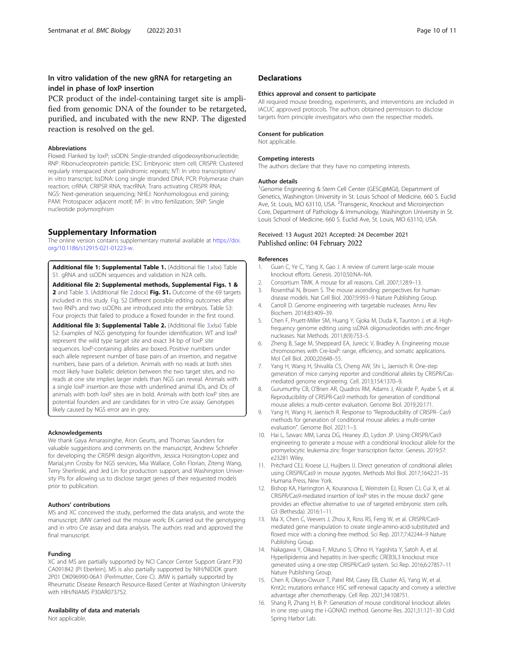# <span id="page-9-0"></span>In vitro validation of the new gRNA for retargeting an indel in phase of loxP insertion

PCR product of the indel-containing target site is amplified from genomic DNA of the founder to be retargeted, purified, and incubated with the new RNP. The digested reaction is resolved on the gel.

# **Abbreviations**

Floxed: Flanked by loxP; ssODN: Single-stranded oligodeoxyribonucleotide; RNP: Ribonucleoprotein particle; ESC: Embryonic stem cell; CRISPR: Clustered regularly interspaced short palindromic repeats; IVT: In vitro transcription/ in vitro transcript; lssDNA: Long single stranded DNA; PCR: Polymerase chain reaction; crRNA: CRIPSR RNA; tracrRNA: Trans activating CRISPR RNA; NGS: Next-generation sequencing; NHEJ: Nonhomologous end joining; PAM: Protospacer adjacent motif; IVF: In vitro fertilization; SNP: Single nucleotide polymorphism

# Supplementary Information

The online version contains supplementary material available at [https://doi.](https://doi.org/10.1186/s12915-021-01223-w) [org/10.1186/s12915-021-01223-w](https://doi.org/10.1186/s12915-021-01223-w).

Additional file 1: Supplemental Table 1. (Additional file 1.xlsx) Table S1. gRNA and ssODN sequences and validation in N2A cells.

Additional file 2: Supplemental methods, Supplemental Figs. 1 & 2 and Table 3. (Additional file 2.docx) Fig. S1. Outcome of the 69 targets included in this study. Fig. S2 Different possible editing outcomes after two RNPs and two ssODNs are introduced into the embryos. Table S3: Four projects that failed to produce a floxed founder in the first round.

Additional file 3: Supplemental Table 2. (Additional file 3.xlsx) Table S2: Examples of NGS genotyping for founder identification. WT and loxP represent the wild type target site and exact 34 bp of loxP site sequences. loxP-containing alleles are boxed. Positive numbers under each allele represent number of base pairs of an insertion, and negative numbers, base pairs of a deletion. Animals with no reads at both sites most likely have biallelic deletion between the two target sites, and no reads at one site implies larger indels than NGS can reveal. Animals with a single loxP insertion are those with underlined animal IDs, and IDs of animals with both loxP sites are in bold. Animals with both loxP sites are potential founders and are candidates for in vitro Cre assay. Genotypes likely caused by NGS error are in grey.

### Acknowledgements

We thank Gaya Amarasinghe, Aron Geurts, and Thomas Saunders for valuable suggestions and comments on the manuscript, Andrew Schriefer for developing the CRISPR design algorithm, Jessica Hoisington-Lopez and MariaLynn Crosby for NGS services, Mia Wallace, Colin Florian, Ziteng Wang, Terry Sherlinski, and Jed Lin for production support, and Washington University PIs for allowing us to disclose target genes of their requested models prior to publication.

#### Authors' contributions

MS and XC conceived the study, performed the data analysis, and wrote the manuscript; JMW carried out the mouse work; EK carried out the genotyping and in vitro Cre assay and data analysis. The authors read and approved the final manuscript.

#### Funding

XC and MS are partially supported by NCI Cancer Center Support Grant P30 CA091842 (PI Eberlein), MS is also partially supported by NIH/NIDDK grant 2P01 DK096990-06A1 (Perlmutter, Core C). JMW is partially supported by Rheumatic Disease Research Resource-Based Center at Washington University with HIH/NIAMS P30AR073752.

# Availability of data and materials

Not applicable.

# **Declarations**

#### Ethics approval and consent to participate

All required mouse breeding, experiments, and interventions are included in IACUC approved protocols. The authors obtained permission to disclose targets from principle investigators who own the respective models.

# Consent for publication

Not applicable.

#### Competing interests

The authors declare that they have no competing interests.

#### Author details

<sup>1</sup>Genome Engineering & Stem Cell Center (GESC@MGI), Department of Genetics, Washington University in St. Louis School of Medicine, 660 S. Euclid Ave, St. Louis, MO 63110, USA. <sup>2</sup> Transgenic, Knockout and Microinjection Core, Department of Pathology & Immunology, Washington University in St. Louis School of Medicine, 660 S. Euclid Ave, St. Louis, MO 63110, USA.

# Received: 13 August 2021 Accepted: 24 December 2021 Published online: 04 February 2022

#### References

- 1. Guan C, Ye C, Yang X, Gao J. A review of current large-scale mouse knockout efforts. Genesis. 2010;50:NA–NA.
- 2. Consortium TIMK. A mouse for all reasons. Cell. 2007;128:9–13.
- 3. Rosenthal N, Brown S. The mouse ascending: perspectives for humandisease models. Nat Cell Biol. 2007;9:993–9 Nature Publishing Group.
- 4. Carroll D. Genome engineering with targetable nucleases. Annu Rev Biochem. 2014;83:409–39.
- 5. Chen F, Pruett-Miller SM, Huang Y, Gjoka M, Duda K, Taunton J, et al. Highfrequency genome editing using ssDNA oligonucleotides with zinc-finger nucleases. Nat Methods. 2011;8(9):753–5.
- 6. Zheng B, Sage M, Sheppeard EA, Jurecic V, Bradley A. Engineering mouse chromosomes with Cre-loxP: range, efficiency, and somatic applications. Mol Cell Biol. 2000;20:648–55.
- 7. Yang H, Wang H, Shivalila CS, Cheng AW, Shi L, Jaenisch R. One-step generation of mice carrying reporter and conditional alleles by CRISPR/Casmediated genome engineering. Cell. 2013;154:1370–9.
- Gurumurthy CB, O'Brien AR, Quadros RM, Adams J, Alcaide P, Ayabe S, et al. Reproducibility of CRISPR-Cas9 methods for generation of conditional mouse alleles: a multi-center evaluation. Genome Biol. 2019;20:171.
- 9. Yang H, Wang H, Jaenisch R. Response to "Reproducibility of CRISPR- Cas9 methods for generation of conditional mouse alleles: a multi-center evaluation". Genome Biol. 2021:1–3.
- 10. Hai L, Szwarc MM, Lanza DG, Heaney JD, Lydon JP. Using CRISPR/Cas9 engineering to generate a mouse with a conditional knockout allele for the promyelocytic leukemia zinc finger transcription factor. Genesis. 2019;57: e23281 Wiley.
- 11. Pritchard CEJ, Kroese LJ, Huijbers IJ. Direct generation of conditional alleles using CRISPR/Cas9 in mouse zygotes. Methods Mol Biol. 2017;1642:21–35 Humana Press, New York.
- 12. Bishop KA, Harrington A, Kouranova E, Weinstein EJ, Rosen CJ, Cui X, et al. CRISPR/Cas9-mediated insertion of loxP sites in the mouse dock7 gene provides an effective alternative to use of targeted embryonic stem cells. G3 (Bethesda). 2016:1–11.
- 13. Ma X, Chen C, Veevers J, Zhou X, Ross RS, Feng W, et al. CRISPR/Cas9 mediated gene manipulation to create single-amino-acid-substituted and floxed mice with a cloning-free method. Sci Rep. 2017;7:42244–9 Nature Publishing Group.
- 14. Nakagawa Y, Oikawa F, Mizuno S, Ohno H, Yagishita Y, Satoh A, et al. Hyperlipidemia and hepatitis in liver-specific CREB3L3 knockout mice generated using a one-step CRISPR/Cas9 system. Sci Rep. 2016;6:27857–11 Nature Publishing Group.
- 15. Chen R, Okeyo-Owuor T, Patel RM, Casey EB, Cluster AS, Yang W, et al. Kmt2c mutations enhance HSC self-renewal capacity and convey a selective advantage after chemotherapy. Cell Rep. 2021;34:108751.
- 16. Shang R, Zhang H, Bi P. Generation of mouse conditional knockout alleles in one step using the i-GONAD method. Genome Res. 2021;31:121–30 Cold Spring Harbor Lab.